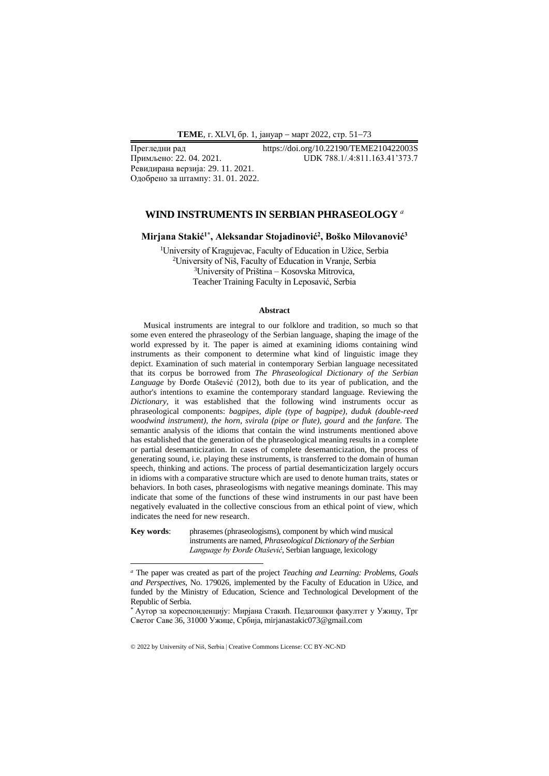**ТEME**, г. XLVI, бр. 1, јануар − март 2022, стр. 51−73

Ревидирана верзија: 29. 11. 2021. Одобрено за штампу: 31. 01. 2022.

## Прегледни рад https://doi.org/10.22190/TEME210422003S<br>Примљено: 22. 04. 2021. UDK 788.1/.4:811.163.41'373.7 Примљено: 22. 04. 2021. UDK 788.1/.4:811.163.41'373.7

#### **WIND INSTRUMENTS IN SERBIAN PHRASEOLOGY** *<sup>а</sup>*

**Mirjana Stakić1\* , Aleksandar Stojadinović<sup>2</sup> , Boško Milovanović<sup>3</sup>**

University of Kragujevac, Faculty of Education in Užice, Serbia University of Niš, Faculty of Education in Vranje, Serbia University of Priština – Kosovska Mitrovica, Teacher Training Faculty in Leposavić, Serbia

#### **Abstract**

Musical instruments are integral to our folklore and tradition, so much so that some even entered the phraseology of the Serbian language, shaping the image of the world expressed by it. The paper is aimed at examining idioms containing wind instruments as their component to determine what kind of linguistic image they depict. Examination of such material in contemporary Serbian language necessitated that its corpus be borrowed from *The Phraseological Dictionary of the Serbian Language* by Đorđe Otašević (2012), both due to its year of publication, and the author's intentions to examine the contemporary standard language. Reviewing the *Dictionary*, it was established that the following wind instruments occur as phraseological components: *bagpipes, diple (type of bagpipe), duduk (double-reed woodwind instrument), the horn, svirala (pipe or flute), gourd* and *the fanfare.* The semantic analysis of the idioms that contain the wind instruments mentioned above has established that the generation of the phraseological meaning results in a complete or partial desemanticization. In cases of complete desemanticization, the process of generating sound, i.e. playing these instruments, is transferred to the domain of human speech, thinking and actions. The process of partial desemanticization largely occurs in idioms with a comparative structure which are used to denote human traits, states or behaviors. In both cases, phraseologisms with negative meanings dominate. This may indicate that some of the functions of these wind instruments in our past have been negatively evaluated in the collective conscious from an ethical point of view, which indicates the need for new research.

**Key words**: phrasemes (phraseologisms), component by which wind musical instruments are named, *Phraseological Dictionary of the Serbian Language by Đorđe Otašević*, Serbian language, lexicology

© 2022 by University of Niš, Serbia | Creative Commons License: CC BY-NC-ND

*<sup>а</sup>* The paper was created as part of the project *Teaching and Learning: Problems, Goals and Perspectives*, No. 179026, implemented by the Faculty of Education in Užice, and funded by the Ministry of Education, Science and Technological Development of the Republic of Serbia.

<sup>\*</sup> Аутор за кореспонденцију: Мирјана Стакић. Педагошки факултет у Ужицу, Трг Светог Саве 36, 31000 Ужице, Србија, mirjanastakic073@gmail.com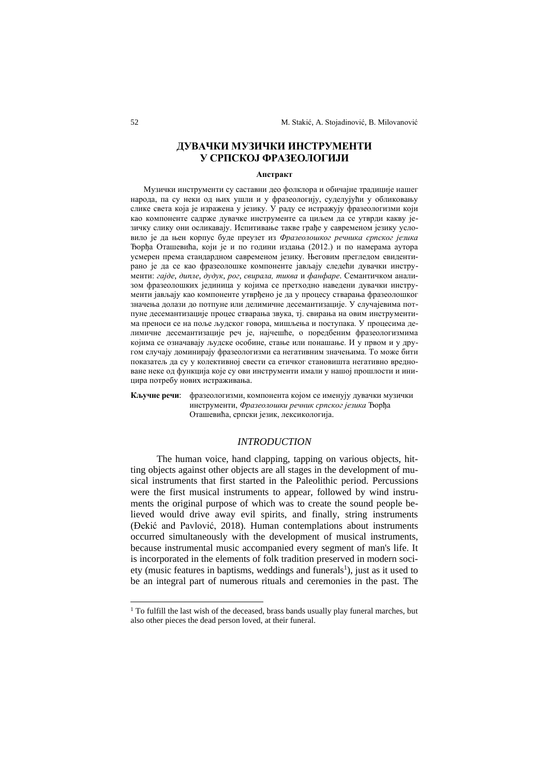# **ДУВАЧКИ МУЗИЧКИ ИНСТРУМЕНТИ У СРПСКОЈ ФРАЗЕОЛОГИЈИ**

#### **Апстракт**

Музички инструменти су саставни део фолклора и обичајне традиције нашег народа, па су неки од њих ушли и у фразеологију, суделујући у обликовању слике света која је изражена у језику. У раду се истражују фразеологизми који као компоненте садрже дувачке инструменте са циљем да се утврди какву језичку слику они осликавају. Испитивање такве грађе у савременом језику условило је да њен корпус буде преузет из *Фразеолошког речника српског језика* Ђорђа Оташевића, који је и по години издања (2012.) и по намерама аутора усмерен према стандардном савременом језику. Његовим прегледом евидентирано је да се као фразеолошке компоненте јављају следећи дувачки инструменти: *гајде*, *дипле*, *дудук*, *рог*, *свирала, тиква* и *фанфаре*. Семантичком анализом фразеолошких јединица у којима се претходно наведени дувачки инструменти јављају као компоненте утврђено је да у процесу стварања фразеолошког значења долази до потпуне или делимичне десемантизације. У случајевима потпуне десемантизације процес стварања звука, тј. свирања на овим инструментима преноси се на поље људског говора, мишљења и поступака. У процесима делимичне десемантизације реч је, најчешће, о поредбеним фразеологизмима којима се означавају људске особине, стање или понашање. И у првом и у другом случају доминирају фразеологизми са негативним значењима. То може бити показатељ да су у колективној свести са етичког становишта негативно вредноване неке од функција које су ови инструменти имали у нашој прошлости и иницира потребу нових истраживања.

**Кључне речи**: фразеологизми, компонента којом се именују дувачки музички инструменти, *Фразеолошки речник српског језика* Ђорђа Оташевића, српски језик, лексикологија.

### *INTRODUCTION*

The human voice, hand clapping, tapping on various objects, hitting objects against other objects are all stages in the development of musical instruments that first started in the Paleolithic period. Percussions were the first musical instruments to appear, followed by wind instruments the original purpose of which was to create the sound people believed would drive away evil spirits, and finally, string instruments (Đekić and Pavlović, 2018). Human contemplations about instruments occurred simultaneously with the development of musical instruments, because instrumental music accompanied every segment of man's life. It is incorporated in the elements of folk tradition preserved in modern society (music features in baptisms, weddings and funerals<sup>1</sup>), just as it used to be an integral part of numerous rituals and ceremonies in the past. The

<sup>&</sup>lt;sup>1</sup> To fulfill the last wish of the deceased, brass bands usually play funeral marches, but also other pieces the dead person loved, at their funeral.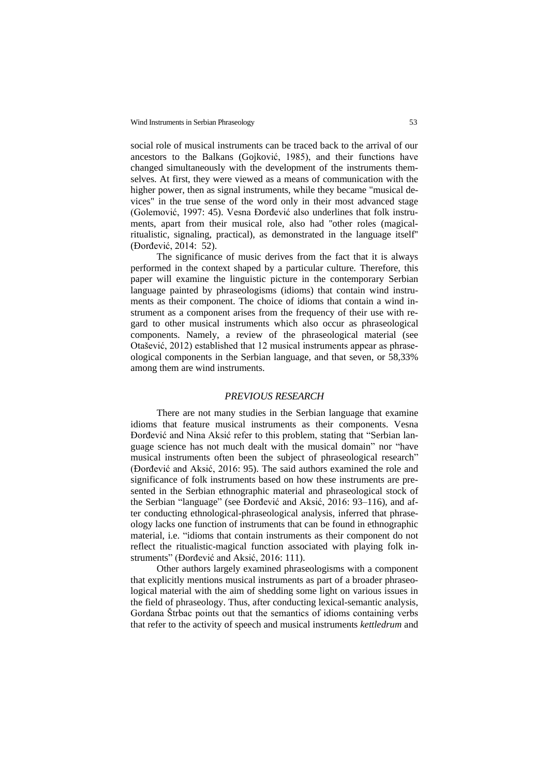social role of musical instruments can be traced back to the arrival of our ancestors to the Balkans (Gojković, 1985), and their functions have changed simultaneously with the development of the instruments themselves. At first, they were viewed as a means of communication with the higher power, then as signal instruments, while they became "musical devices" in the true sense of the word only in their most advanced stage (Golemović, 1997: 45). Vesna Đorđević also underlines that folk instruments, apart from their musical role, also had ''other roles (magicalritualistic, signaling, practical), as demonstrated in the language itself'' (Đorđević, 2014: 52).

The significance of music derives from the fact that it is always performed in the context shaped by a particular culture. Therefore, this paper will examine the linguistic picture in the contemporary Serbian language painted by phraseologisms (idioms) that contain wind instruments as their component. The choice of idioms that contain a wind instrument as a component arises from the frequency of their use with regard to other musical instruments which also occur as phraseological components. Namely, a review of the phraseological material (see Otašević, 2012) established that 12 musical instruments appear as phraseological components in the Serbian language, and that seven, or 58,33% among them are wind instruments.

#### *PREVIOUS RESEARCH*

There are not many studies in the Serbian language that examine idioms that feature musical instruments as their components. Vesna Đorđević and Nina Aksić refer to this problem, stating that "Serbian language science has not much dealt with the musical domain" nor "have musical instruments often been the subject of phraseological research" (Đorđević and Aksić, 2016: 95). The said authors examined the role and significance of folk instruments based on how these instruments are presented in the Serbian ethnographic material and phraseological stock of the Serbian "language" (see Đorđević and Aksić, 2016: 93–116), and after conducting ethnological-phraseological analysis, inferred that phraseology lacks one function of instruments that can be found in ethnographic material, i.e. "idioms that contain instruments as their component do not reflect the ritualistic-magical function associated with playing folk instruments" (Đorđević and Aksić, 2016: 111).

Other authors largely examined phraseologisms with a component that explicitly mentions musical instruments as part of a broader phraseological material with the aim of shedding some light on various issues in the field of phraseology. Thus, after conducting lexical-semantic analysis, Gordana Štrbac points out that the semantics of idioms containing verbs that refer to the activity of speech and musical instruments *kettledrum* and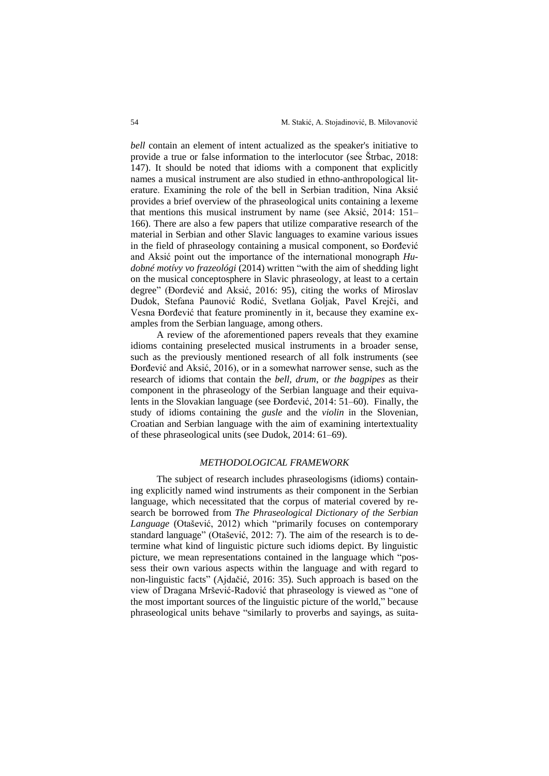*bell* contain an element of intent actualized as the speaker's initiative to provide a true or false information to the interlocutor (see Štrbac, 2018: 147). It should be noted that idioms with a component that explicitly names a musical instrument are also studied in ethno-anthropological literature. Examining the role of the bell in Serbian tradition, Nina Aksić provides a brief overview of the phraseological units containing a lexeme that mentions this musical instrument by name (see Aksić, 2014: 151– 166). There are also a few papers that utilize comparative research of the material in Serbian and other Slavic languages to examine various issues in the field of phraseology containing a musical component, so Đorđević and Aksić point out the importance of the international monograph *Hudobné motívy vo frazeológi* (2014) written "with the aim of shedding light on the musical conceptosphere in Slavic phraseology, at least to a certain degree" (Đorđević and Aksić, 2016: 95), citing the works of Miroslav Dudok, Stefana Paunović Rodić, Svetlana Goljak, Pavel Krejči, and Vesna Đorđević that feature prominently in it, because they examine examples from the Serbian language, among others.

A review of the aforementioned papers reveals that they examine idioms containing preselected musical instruments in a broader sense, such as the previously mentioned research of all folk instruments (see Đorđević and Aksić, 2016), or in a somewhat narrower sense, such as the research of idioms that contain the *bell, drum*, or *the bagpipes* as their component in the phraseology of the Serbian language and their equivalents in the Slovakian language (see Đorđević, 2014: 51–60). Finally, the study of idioms containing the *gusle* and the *violin* in the Slovenian, Croatian and Serbian language with the aim of examining intertextuality of these phraseological units (see Dudok, 2014: 61–69).

#### *METHODOLOGICAL FRAMEWORK*

The subject of research includes phraseologisms (idioms) containing explicitly named wind instruments as their component in the Serbian language, which necessitated that the corpus of material covered by research be borrowed from *The Phraseological Dictionary of the Serbian Language* (Otašević, 2012) which "primarily focuses on contemporary standard language" (Otašević, 2012: 7). The aim of the research is to determine what kind of linguistic picture such idioms depict. By linguistic picture, we mean representations contained in the language which "possess their own various aspects within the language and with regard to non-linguistic facts" (Ajdačić, 2016: 35). Such approach is based on the view of Dragana Mršević-Radović that phraseology is viewed as "one of the most important sources of the linguistic picture of the world," because phraseological units behave "similarly to proverbs and sayings, as suita-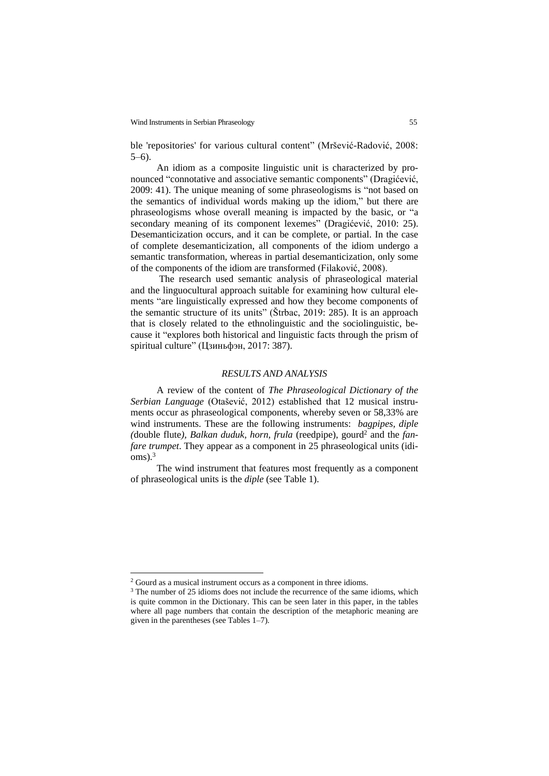ble 'repositories' for various cultural content" (Mršević-Radović, 2008: 5–6).

An idiom as a composite linguistic unit is characterized by pronounced "connotative and associative semantic components" (Dragićević, 2009: 41). The unique meaning of some phraseologisms is "not based on the semantics of individual words making up the idiom," but there are phraseologisms whose overall meaning is impacted by the basic, or "a secondary meaning of its component lexemes" (Dragićević, 2010: 25). Desemanticization occurs, and it can be complete, or partial. In the case of complete desemanticization, all components of the idiom undergo a semantic transformation, whereas in partial desemanticization, only some of the components of the idiom are transformed (Filaković, 2008).

The research used semantic analysis of phraseological material and the linguocultural approach suitable for examining how cultural elements "are linguistically expressed and how they become components of the semantic structure of its units" (Štrbac, 2019: 285). It is an approach that is closely related to the ethnolinguistic and the sociolinguistic, because it "explores both historical and linguistic facts through the prism of spiritual culture" (Цзиньфэн, 2017: 387).

## *RESULTS AND ANALYSIS*

A review of the content of *The Phraseological Dictionary of the Serbian Language* (Otašević, 2012) established that 12 musical instruments occur as phraseological components, whereby seven or 58,33% are wind instruments. These are the following instruments: *bagpipes, diple (*double flute*), Balkan duduk, horn, frula* (reedpipe), gourd<sup>2</sup> and the *fanfare trumpet*. They appear as a component in 25 phraseological units (idioms). 3

The wind instrument that features most frequently as a component of phraseological units is the *diple* (see Table 1).

<sup>2</sup> Gourd as a musical instrument occurs as a component in three idioms.

<sup>&</sup>lt;sup>3</sup> The number of 25 idioms does not include the recurrence of the same idioms, which is quite common in the Dictionary. This can be seen later in this paper, in the tables where all page numbers that contain the description of the metaphoric meaning are given in the parentheses (see Tables 1–7).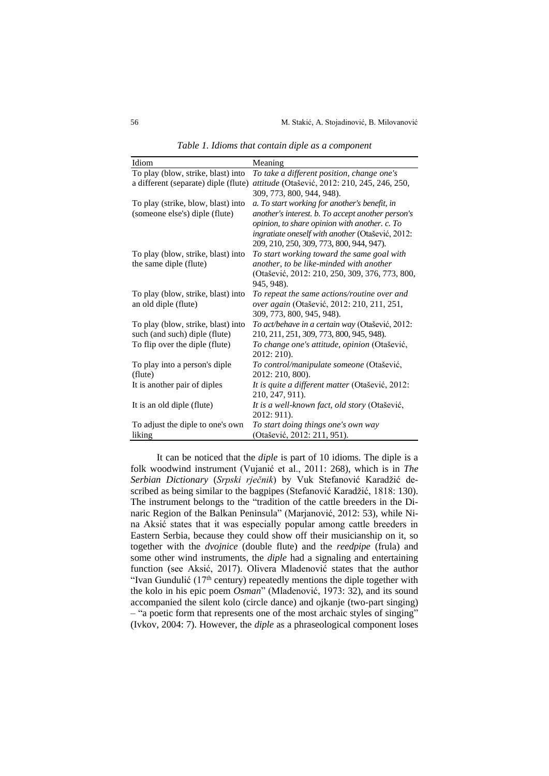| Idiom                                | Meaning                                           |
|--------------------------------------|---------------------------------------------------|
| To play (blow, strike, blast) into   | To take a different position, change one's        |
| a different (separate) diple (flute) | attitude (Otašević, 2012: 210, 245, 246, 250,     |
|                                      | 309, 773, 800, 944, 948).                         |
| To play (strike, blow, blast) into   | a. To start working for another's benefit, in     |
| (someone else's) diple (flute)       | another's interest. b. To accept another person's |
|                                      | opinion, to share opinion with another. c. To     |
|                                      | ingratiate oneself with another (Otašević, 2012:  |
|                                      | 209, 210, 250, 309, 773, 800, 944, 947).          |
| To play (blow, strike, blast) into   | To start working toward the same goal with        |
| the same diple (flute)               | another, to be like-minded with another           |
|                                      | (Otašević, 2012: 210, 250, 309, 376, 773, 800,    |
|                                      | 945, 948).                                        |
| To play (blow, strike, blast) into   | To repeat the same actions/routine over and       |
| an old diple (flute)                 | <i>over again</i> (Otašević, 2012: 210, 211, 251, |
|                                      | 309, 773, 800, 945, 948).                         |
| To play (blow, strike, blast) into   | To act/behave in a certain way (Otašević, 2012:   |
| such (and such) diple (flute)        | 210, 211, 251, 309, 773, 800, 945, 948).          |
| To flip over the diple (flute)       | To change one's attitude, opinion (Otašević,      |
|                                      | 2012: 210).                                       |
| To play into a person's diple        | To control/manipulate someone (Otašević,          |
| (flute)                              | 2012: 210, 800).                                  |
| It is another pair of diples         | It is quite a different matter (Otašević, 2012:   |
|                                      | 210, 247, 911).                                   |
| It is an old diple (flute)           | It is a well-known fact, old story (Otašević,     |
|                                      | 2012: 911).                                       |
| To adjust the diple to one's own     | To start doing things one's own way               |
| liking                               | (Otašević, 2012: 211, 951).                       |

*Table 1. Idioms that contain diple as a component* 

It can be noticed that the *diple* is part of 10 idioms. The diple is a folk woodwind instrument (Vujanić et al., 2011: 268), which is in *The Serbian Dictionary* (*Srpski rječnik*) by Vuk Stefanović Karadžić described as being similar to the bagpipes (Stefanović Karadžić, 1818: 130). The instrument belongs to the "tradition of the cattle breeders in the Dinaric Region of the Balkan Peninsula" (Marjanović, 2012: 53), while Nina Aksić states that it was especially popular among cattle breeders in Eastern Serbia, because they could show off their musicianship on it, so together with the *dvojnice* (double flute) and the *reedpipe* (frula) and some other wind instruments, the *diple* had a signaling and entertaining function (see Aksić, 2017). Olivera Mladenović states that the author "Ivan Gundulić ( $17<sup>th</sup>$  century) repeatedly mentions the diple together with the kolo in his epic poem *Osman*" (Mladenović, 1973: 32), and its sound accompanied the silent kolo (circle dance) and ojkanje (two-part singing) *–* "a poetic form that represents one of the most archaic styles of singing" (Ivkov, 2004: 7). However, the *diple* as a phraseological component loses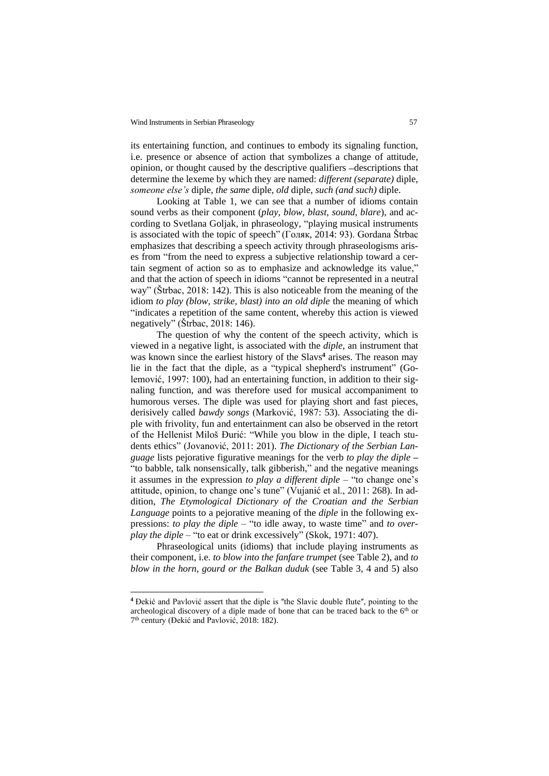its entertaining function, and continues to embody its signaling function, i.e. presence or absence of action that symbolizes a change of attitude, opinion, or thought caused by the descriptive qualifiers  $-d$ escriptions that determine the lexeme by which they are named: *different (separate)* diple, *someone else's* diple, *the same* diple, *old* diple, *such (and such)* diple.

Looking at Table 1, we can see that a number of idioms contain sound verbs as their component (*play, blow, blast, sound, blare*), and according to Svetlana Goljak, in phraseology, "playing musical instruments is associated with the topic of speech" (Голяк, 2014: 93). Gordana Štrbac emphasizes that describing a speech activity through phraseologisms arises from "from the need to express a subjective relationship toward a certain segment of action so as to emphasize and acknowledge its value," and that the action of speech in idioms "cannot be represented in a neutral way" (Štrbac, 2018: 142). This is also noticeable from the meaning of the idiom *to play (blow, strike, blast) into an old diple* the meaning of which "indicates a repetition of the same content, whereby this action is viewed negatively" (Štrbac, 2018: 146).

The question of why the content of the speech activity, which is viewed in a negative light, is associated with the *diple*, an instrument that was known since the earliest history of the Slavs<sup>4</sup> arises. The reason may lie in the fact that the diple, as a "typical shepherd's instrument" (Golemović, 1997: 100), had an entertaining function, in addition to their signaling function, and was therefore used for musical accompaniment to humorous verses. The diple was used for playing short and fast pieces, derisively called *bawdy songs* (Marković, 1987: 53). Associating the diple with frivolity, fun and entertainment can also be observed in the retort of the Hellenist Miloš Đurić: "While you blow in the diple, I teach students ethics" (Jovanović, 2011: 201). *The Dictionary of the Serbian Language* lists pejorative figurative meanings for the verb *to play the diple* **–** "to babble, talk nonsensically, talk gibberish," and the negative meanings it assumes in the expression *to play a different diple* – "to change one's attitude, opinion, to change one's tune" (Vujanić et al., 2011: 268). In addition, *The Etymological Dictionary of the Croatian and the Serbian Language* points to a pejorative meaning of the *diple* in the following expressions: *to play the diple* – "to idle away, to waste time" and *to overplay the diple* – "to eat or drink excessively" (Skok, 1971: 407).

Phraseological units (idioms) that include playing instruments as their component, i.e. *to blow into the fanfare trumpet* (see Table 2), and *to blow in the horn, gourd or the Balkan duduk* (see Table 3, 4 and 5) also

<sup>&</sup>lt;sup>4</sup> Đekić and Pavlović assert that the diple is "the Slavic double flute", pointing to the archeological discovery of a diple made of bone that can be traced back to the  $6<sup>th</sup>$  or 7 th century (Đekić and Pavlović, 2018: 182).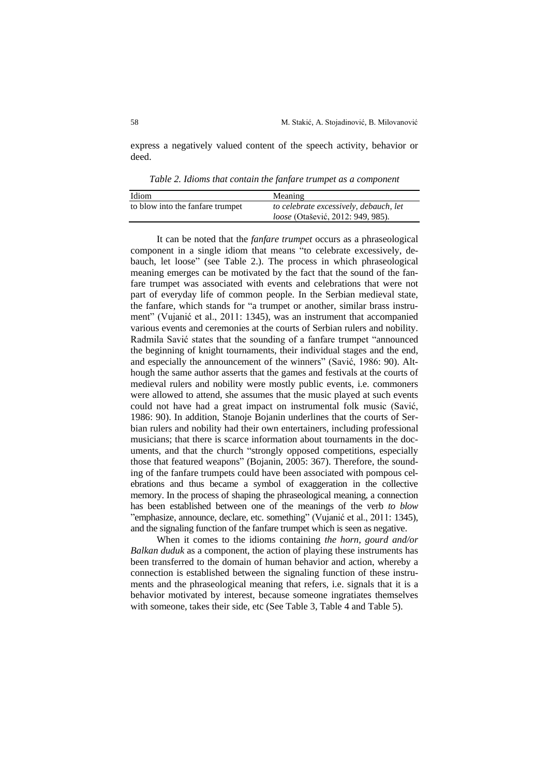express a negatively valued content of the speech activity, behavior or deed.

*Table 2. Idioms that contain the fanfare trumpet as a component* 

| Idiom                            | Meaning                                |
|----------------------------------|----------------------------------------|
| to blow into the fanfare trumpet | to celebrate excessively, debauch, let |
|                                  | loose (Otašević, 2012: 949, 985).      |

It can be noted that the *fanfare trumpet* occurs as a phraseological component in a single idiom that means "to celebrate excessively, debauch, let loose" (see Table 2.). The process in which phraseological meaning emerges can be motivated by the fact that the sound of the fanfare trumpet was associated with events and celebrations that were not part of everyday life of common people. In the Serbian medieval state, the fanfare, which stands for "a trumpet or another, similar brass instrument" (Vujanić et al., 2011: 1345), was an instrument that accompanied various events and ceremonies at the courts of Serbian rulers and nobility. Radmila Savić states that the sounding of a fanfare trumpet "announced the beginning of knight tournaments, their individual stages and the end, and especially the announcement of the winners" (Savić, 1986: 90). Although the same author asserts that the games and festivals at the courts of medieval rulers and nobility were mostly public events, i.e. commoners were allowed to attend, she assumes that the music played at such events could not have had a great impact on instrumental folk music (Savić, 1986: 90). In addition, Stanoje Bojanin underlines that the courts of Serbian rulers and nobility had their own entertainers, including professional musicians; that there is scarce information about tournaments in the documents, and that the church "strongly opposed competitions, especially those that featured weapons" (Bojanin, 2005: 367). Therefore, the sounding of the fanfare trumpets could have been associated with pompous celebrations and thus became a symbol of exaggeration in the collective memory. In the process of shaping the phraseological meaning, a connection has been established between one of the meanings of the verb *to blow* "emphasize, announce, declare, etc. something" (Vujanić et al., 2011: 1345), and the signaling function of the fanfare trumpet which is seen as negative.

When it comes to the idioms containing *the horn, gourd and/or Balkan duduk* as a component, the action of playing these instruments has been transferred to the domain of human behavior and action, whereby a connection is established between the signaling function of these instruments and the phraseological meaning that refers, i.e. signals that it is a behavior motivated by interest, because someone ingratiates themselves with someone, takes their side, etc (See Table 3, Table 4 and Table 5).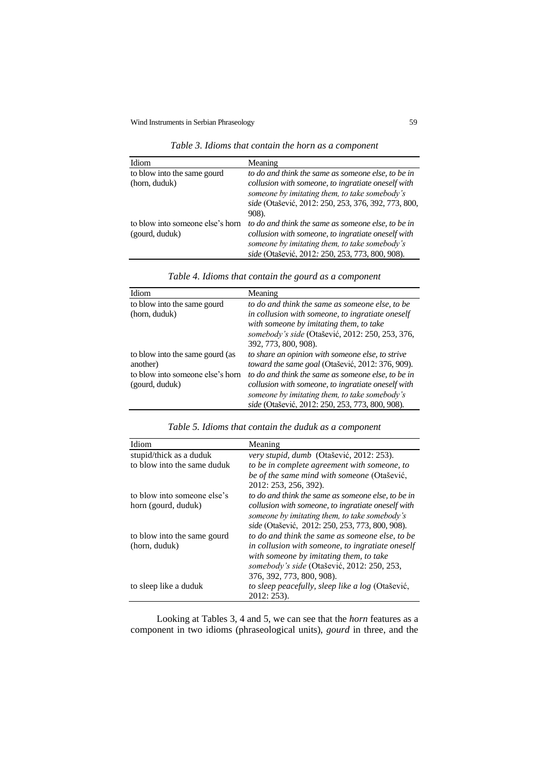*Table 3. Idioms that contain the horn as a component* 

| Idiom                            | Meaning                                             |
|----------------------------------|-----------------------------------------------------|
| to blow into the same gourd      | to do and think the same as someone else, to be in  |
| (horn, duduk)                    | collusion with someone, to ingratiate oneself with  |
|                                  | someone by imitating them, to take somebody's       |
|                                  | side (Otašević, 2012: 250, 253, 376, 392, 773, 800, |
|                                  | 908).                                               |
| to blow into someone else's horn | to do and think the same as someone else, to be in  |
| (gourd, duduk)                   | collusion with someone, to ingratiate oneself with  |
|                                  | someone by imitating them, to take somebody's       |
|                                  | side (Otašević, 2012: 250, 253, 773, 800, 908).     |

| Idiom                                                                                             | Meaning                                                                                                                                                                                                                                                                                                              |
|---------------------------------------------------------------------------------------------------|----------------------------------------------------------------------------------------------------------------------------------------------------------------------------------------------------------------------------------------------------------------------------------------------------------------------|
| to blow into the same gourd<br>(horn, duduk)                                                      | to do and think the same as someone else, to be<br>in collusion with someone, to ingratiate oneself<br>with someone by imitating them, to take<br>somebody's side (Otašević, 2012: 250, 253, 376,<br>392, 773, 800, 908).                                                                                            |
| to blow into the same gourd (as<br>another)<br>to blow into someone else's horn<br>(gourd, duduk) | to share an opinion with someone else, to strive<br>toward the same goal (Otašević, 2012: 376, 909).<br>to do and think the same as someone else, to be in<br>collusion with someone, to ingratiate oneself with<br>someone by imitating them, to take somebody's<br>side (Otašević, 2012: 250, 253, 773, 800, 908). |

*Table 4. Idioms that contain the gourd as a component* 

| Idiom                       | Meaning                                            |
|-----------------------------|----------------------------------------------------|
| stupid/thick as a duduk     | very stupid, dumb (Otašević, 2012: 253).           |
| to blow into the same duduk | to be in complete agreement with someone, to       |
|                             | be of the same mind with someone (Otašević,        |
|                             | 2012: 253, 256, 392).                              |
| to blow into someone else's | to do and think the same as someone else, to be in |
| horn (gourd, duduk)         | collusion with someone, to ingratiate oneself with |
|                             | someone by imitating them, to take somebody's      |
|                             | side (Otašević, 2012: 250, 253, 773, 800, 908).    |
| to blow into the same gourd | to do and think the same as someone else, to be    |
| (horn, duduk)               | in collusion with someone, to ingratiate oneself   |
|                             | with someone by imitating them, to take            |
|                             | somebody's side (Otašević, 2012: 250, 253,         |
|                             | 376, 392, 773, 800, 908).                          |
| to sleep like a duduk       | to sleep peacefully, sleep like a log (Otašević,   |
|                             | 2012: 253).                                        |

Looking at Tables 3, 4 and 5, we can see that the *horn* features as a component in two idioms (phraseological units), *gourd* in three, and the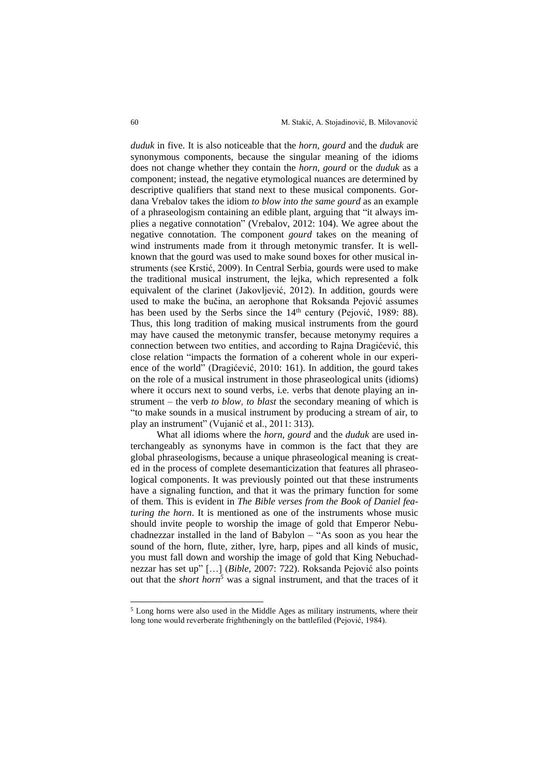*duduk* in five. It is also noticeable that the *horn, gourd* and the *duduk* are synonymous components, because the singular meaning of the idioms does not change whether they contain the *horn, gourd* or the *duduk* as a component; instead, the negative etymological nuances are determined by descriptive qualifiers that stand next to these musical components. Gordana Vrebalov takes the idiom *to blow into the same gourd* as an example of a phraseologism containing an edible plant, arguing that "it always implies a negative connotation" (Vrebalov, 2012: 104). We agree about the negative connotation. The component *gourd* takes on the meaning of wind instruments made from it through metonymic transfer. It is wellknown that the gourd was used to make sound boxes for other musical instruments (see Krstić, 2009). In Central Serbia, gourds were used to make the traditional musical instrument, the lejka, which represented a folk equivalent of the clarinet (Jakovljević, 2012). In addition, gourds were used to make the bučina, an aerophone that Roksanda Pejović assumes has been used by the Serbs since the  $14<sup>th</sup>$  century (Pejović, 1989: 88). Thus, this long tradition of making musical instruments from the gourd may have caused the metonymic transfer, because metonymy requires a connection between two entities, and according to Rajna Dragićević, this close relation "impacts the formation of a coherent whole in our experience of the world" (Dragićević, 2010: 161). In addition, the gourd takes on the role of a musical instrument in those phraseological units (idioms) where it occurs next to sound verbs, i.e. verbs that denote playing an instrument – the verb *to blow, to blast* the secondary meaning of which is "to make sounds in a musical instrument by producing a stream of air, to play an instrument" (Vujanić et al., 2011: 313).

What all idioms where the *horn, gourd* and the *duduk* are used interchangeably as synonyms have in common is the fact that they are global phraseologisms, because a unique phraseological meaning is created in the process of complete desemanticization that features all phraseological components. It was previously pointed out that these instruments have a signaling function, and that it was the primary function for some of them. This is evident in *The Bible verses from the Book of Daniel featuring the horn*. It is mentioned as one of the instruments whose music should invite people to worship the image of gold that Emperor Nebuchadnezzar installed in the land of Babylon *–* "As soon as you hear the sound of the horn, flute, zither, lyre, harp, pipes and all kinds of music, you must fall down and worship the image of gold that King Nebuchadnezzar has set up" […] (*Bible,* 2007: 722). Roksanda Pejović also points out that the *short horn<sup>5</sup>* was a signal instrument, and that the traces of it

<sup>&</sup>lt;sup>5</sup> Long horns were also used in the Middle Ages as military instruments, where their long tone would reverberate frightheningly on the battlefiled (Pejović, 1984).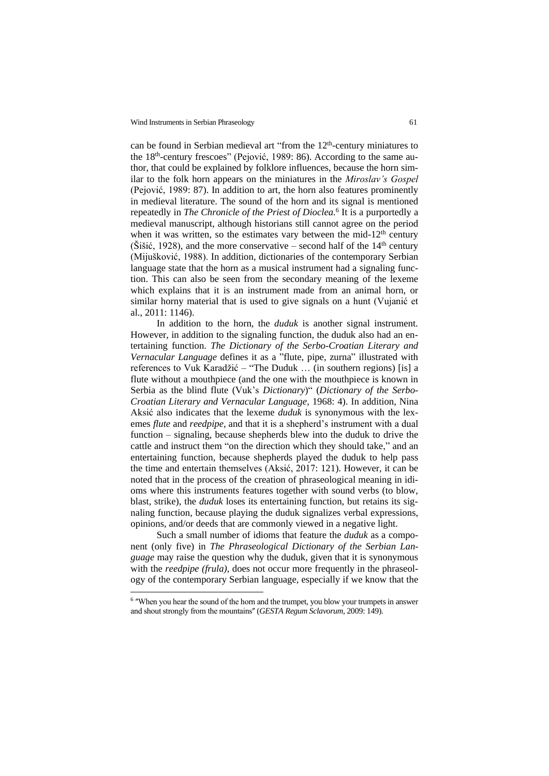can be found in Serbian medieval art "from the  $12<sup>th</sup>$ -century miniatures to the 18<sup>th</sup>-century frescoes" (Pejović, 1989: 86). According to the same author, that could be explained by folklore influences, because the horn similar to the folk horn appears on the miniatures in the *Miroslav's Gospel* (Pejović, 1989: 87). In addition to art, the horn also features prominently in medieval literature. The sound of the horn and its signal is mentioned repeatedly in *The Chronicle of the Priest of Dioclea.*<sup>6</sup> It is a purportedly a medieval manuscript, although historians still cannot agree on the period when it was written, so the estimates vary between the mid-12<sup>th</sup> century (Šišić, 1928), and the more conservative – second half of the  $14<sup>th</sup>$  century (Mijušković, 1988). In addition, dictionaries of the contemporary Serbian language state that the horn as a musical instrument had a signaling function. This can also be seen from the secondary meaning of the lexeme which explains that it is an instrument made from an animal horn, or similar horny material that is used to give signals on a hunt (Vujanić et al., 2011: 1146).

In addition to the horn, the *duduk* is another signal instrument. However, in addition to the signaling function, the duduk also had an entertaining function. *The Dictionary of the Serbo-Croatian Literary and Vernacular Language* defines it as a "flute, pipe, zurna" illustrated with references to Vuk Karadžić – "The Duduk … (in southern regions) [is] a flute without a mouthpiece (and the one with the mouthpiece is known in Serbia as the blind flute (Vuk's *Dictionary*)" (*Dictionary of the Serbo-Croatian Literary and Vernacular Language*, 1968: 4). In addition, Nina Aksić also indicates that the lexeme *duduk* is synonymous with the lexemes *flute* and *reedpipe*, and that it is a shepherd's instrument with a dual function – signaling, because shepherds blew into the duduk to drive the cattle and instruct them "on the direction which they should take," and an entertaining function, because shepherds played the duduk to help pass the time and entertain themselves (Aksić, 2017: 121). However, it can be noted that in the process of the creation of phraseological meaning in idioms where this instruments features together with sound verbs (to blow, blast, strike), the *duduk* loses its entertaining function, but retains its signaling function, because playing the duduk signalizes verbal expressions, opinions, and/or deeds that are commonly viewed in a negative light.

Such a small number of idioms that feature the *duduk* as a component (only five) in *The Phraseological Dictionary of the Serbian Language* may raise the question why the duduk, given that it is synonymous with the *reedpipe (frula)*, does not occur more frequently in the phraseology of the contemporary Serbian language, especially if we know that the

<sup>&</sup>lt;sup>6</sup> "When you hear the sound of the horn and the trumpet, you blow your trumpets in answer and shout strongly from the mountains" (*GESTA Regum Sclavorum*, 2009: 149).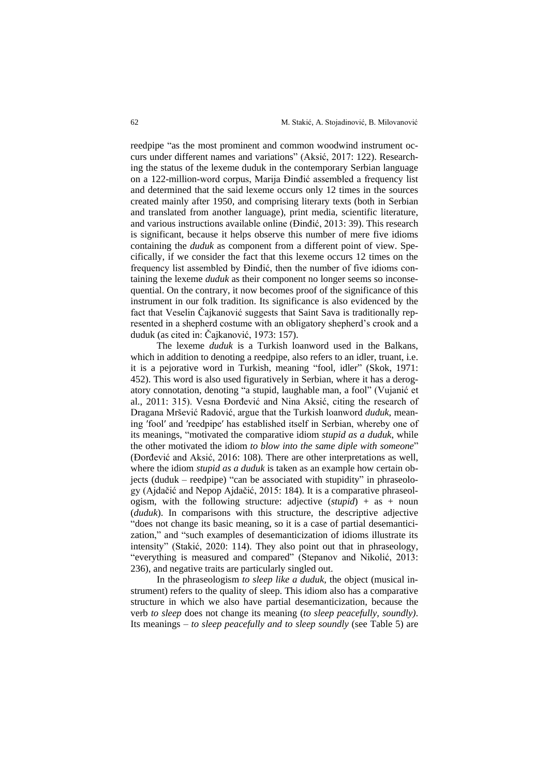reedpipe "as the most prominent and common woodwind instrument occurs under different names and variations" (Aksić, 2017: 122). Researching the status of the lexeme duduk in the contemporary Serbian language on a 122-million-word corpus, Marija Đinđić assembled a frequency list and determined that the said lexeme occurs only 12 times in the sources created mainly after 1950, and comprising literary texts (both in Serbian and translated from another language), print media, scientific literature, and various instructions available online (Đinđić, 2013: 39). This research is significant, because it helps observe this number of mere five idioms containing the *duduk* as component from a different point of view. Specifically, if we consider the fact that this lexeme occurs 12 times on the frequency list assembled by Đinđić, then the number of five idioms containing the lexeme *duduk* as their component no longer seems so inconsequential. On the contrary, it now becomes proof of the significance of this instrument in our folk tradition. Its significance is also evidenced by the fact that Veselin Čajkanović suggests that Saint Sava is traditionally represented in a shepherd costume with an obligatory shepherd's crook and a duduk (as cited in: Čajkanović, 1973: 157).

The lexeme *duduk* is a Turkish loanword used in the Balkans, which in addition to denoting a reedpipe, also refers to an idler, truant, i.e. it is a pejorative word in Turkish, meaning "fool, idler" (Skok, 1971: 452). This word is also used figuratively in Serbian, where it has a derogatory connotation, denoting "a stupid, laughable man, a fool" (Vujanić et al., 2011: 315). Vesna Đorđević and Nina Aksić, citing the research of Dragana Mršević Radović, argue that the Turkish loanword *duduk*, meaning 'fool' and 'reedpipe' has established itself in Serbian, whereby one of its meanings, "motivated the comparative idiom *stupid as a duduk*, while the other motivated the idiom *to blow into the same diple with someone*" (Đorđević and Aksić, 2016: 108). There are other interpretations as well, where the idiom *stupid as a duduk* is taken as an example how certain objects (duduk – reedpipe) "can be associated with stupidity" in phraseology (Ajdačić and Nepop Ajdačić, 2015: 184). It is a comparative phraseologism, with the following structure: adjective (*stupid*) + as + noun (*duduk*). In comparisons with this structure, the descriptive adjective "does not change its basic meaning, so it is a case of partial desemanticization," and "such examples of desemanticization of idioms illustrate its intensity" (Stakić, 2020: 114). They also point out that in phraseology, "everything is measured and compared" (Stepanov and Nikolić, 2013: 236), and negative traits are particularly singled out.

In the phraseologism *to sleep like a duduk*, the object (musical instrument) refers to the quality of sleep. This idiom also has a comparative structure in which we also have partial desemanticization, because the verb *to sleep* does not change its meaning (*to sleep peacefully, soundly)*. Its meanings – *to sleep peacefully and to sleep soundly* (see Table 5) are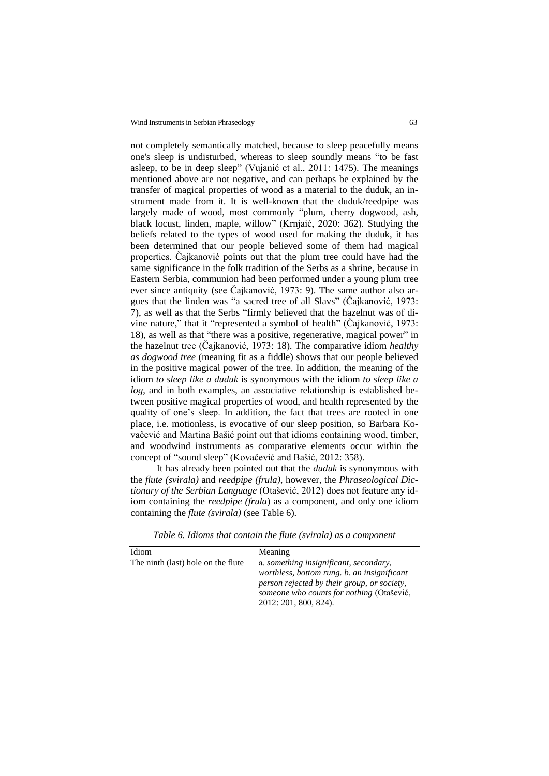not completely semantically matched, because to sleep peacefully means one's sleep is undisturbed, whereas to sleep soundly means "to be fast asleep, to be in deep sleep" (Vujanić et al., 2011: 1475). The meanings mentioned above are not negative, and can perhaps be explained by the transfer of magical properties of wood as a material to the duduk, an instrument made from it. It is well-known that the duduk/reedpipe was largely made of wood, most commonly "plum, cherry dogwood, ash, black locust, linden, maple, willow" (Krnjaić, 2020: 362). Studying the beliefs related to the types of wood used for making the duduk, it has been determined that our people believed some of them had magical properties. Čajkanović points out that the plum tree could have had the same significance in the folk tradition of the Serbs as a shrine, because in Eastern Serbia, communion had been performed under a young plum tree ever since antiquity (see Čajkanović, 1973: 9). The same author also argues that the linden was "a sacred tree of all Slavs" (Čajkanović, 1973: 7), as well as that the Serbs "firmly believed that the hazelnut was of divine nature," that it "represented a symbol of health" (Čajkanović, 1973: 18), as well as that "there was a positive, regenerative, magical power" in the hazelnut tree (Čajkanović, 1973: 18). The comparative idiom *healthy as dogwood tree* (meaning fit as a fiddle) shows that our people believed in the positive magical power of the tree. In addition, the meaning of the idiom *to sleep like a duduk* is synonymous with the idiom *to sleep like a log*, and in both examples, an associative relationship is established between positive magical properties of wood, and health represented by the quality of one's sleep. In addition, the fact that trees are rooted in one place, i.e. motionless, is evocative of our sleep position, so Barbara Kovačević and Martina Bašić point out that idioms containing wood, timber, and woodwind instruments as comparative elements occur within the concept of "sound sleep" (Kovačević and Bašić, 2012: 358).

It has already been pointed out that the *duduk* is synonymous with the *flute (svirala)* and *reedpipe (frula)*, however, the *Phraseological Dictionary of the Serbian Language* (Otašević, 2012) does not feature any idiom containing the *reedpipe (frula*) as a component, and only one idiom containing the *flute (svirala)* (see Table 6).

| Idiom                              | Meaning                                                                                                                                                                                                    |
|------------------------------------|------------------------------------------------------------------------------------------------------------------------------------------------------------------------------------------------------------|
| The ninth (last) hole on the flute | a. something insignificant, secondary,<br>worthless, bottom rung. b. an insignificant<br>person rejected by their group, or society,<br>someone who counts for nothing (Otašević,<br>2012: 201, 800, 824). |

*Table 6. Idioms that contain the flute (svirala) as a component*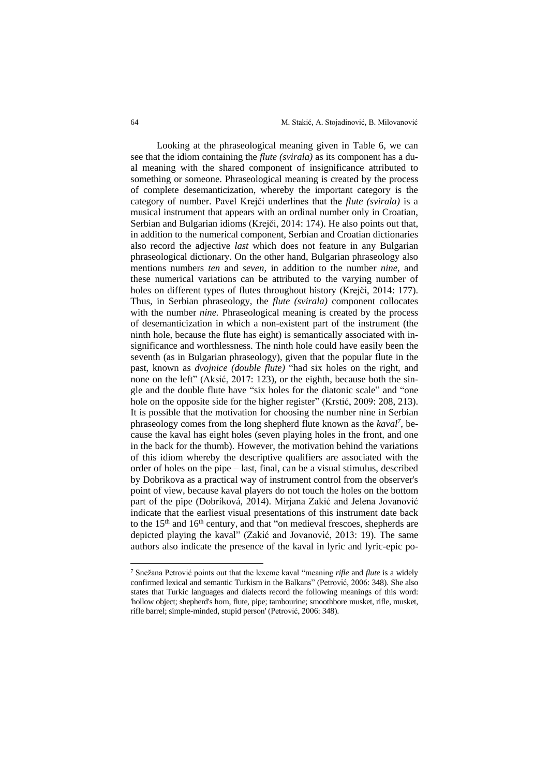Looking at the phraseological meaning given in Table 6, we can see that the idiom containing the *flute (svirala)* as its component has a dual meaning with the shared component of insignificance attributed to something or someone. Phraseological meaning is created by the process of complete desemanticization, whereby the important category is the category of number. Pavel Krejči underlines that the *flute (svirala)* is a musical instrument that appears with an ordinal number only in Croatian, Serbian and Bulgarian idioms (Krejči, 2014: 174). He also points out that, in addition to the numerical component, Serbian and Croatian dictionaries also record the adjective *last* which does not feature in any Bulgarian phraseological dictionary. On the other hand, Bulgarian phraseology also mentions numbers *ten* and *seven*, in addition to the number *nine*, and these numerical variations can be attributed to the varying number of holes on different types of flutes throughout history (Krejči, 2014: 177). Thus, in Serbian phraseology, the *flute (svirala)* component collocates with the number *nine*. Phraseological meaning is created by the process of desemanticization in which a non-existent part of the instrument (the ninth hole, because the flute has eight) is semantically associated with insignificance and worthlessness. The ninth hole could have easily been the seventh (as in Bulgarian phraseology), given that the popular flute in the past, known as *dvojnice (double flute)* "had six holes on the right, and none on the left" (Aksić, 2017: 123), or the eighth, because both the single and the double flute have "six holes for the diatonic scale" and "one hole on the opposite side for the higher register" (Krstić, 2009: 208, 213). It is possible that the motivation for choosing the number nine in Serbian phraseology comes from the long shepherd flute known as the *kaval<sup>7</sup>* , because the kaval has eight holes (seven playing holes in the front, and one in the back for the thumb). However, the motivation behind the variations of this idiom whereby the descriptive qualifiers are associated with the order of holes on the pipe – last, final, can be a visual stimulus, described by Dobrikova as a practical way of instrument control from the observer's point of view, because kaval players do not touch the holes on the bottom part of the pipe (Dobríková, 2014). Mirjana Zakić and Jelena Jovanović indicate that the earliest visual presentations of this instrument date back to the 15<sup>th</sup> and 16<sup>th</sup> century, and that "on medieval frescoes, shepherds are depicted playing the kaval" (Zakić and Jovanović, 2013: 19). The same authors also indicate the presence of the kaval in lyric and lyric-epic po-

<sup>7</sup> Snežana Petrović points out that the lexeme kaval "meaning *rifle* and *flute* is a widely confirmed lexical and semantic Turkism in the Balkans" (Petrović, 2006: 348). She also states that Turkic languages and dialects record the following meanings of this word: 'hollow object; shepherd's horn, flute, pipe; tambourine; smoothbore musket, rifle, musket, rifle barrel; simple-minded, stupid person' (Petrović, 2006: 348).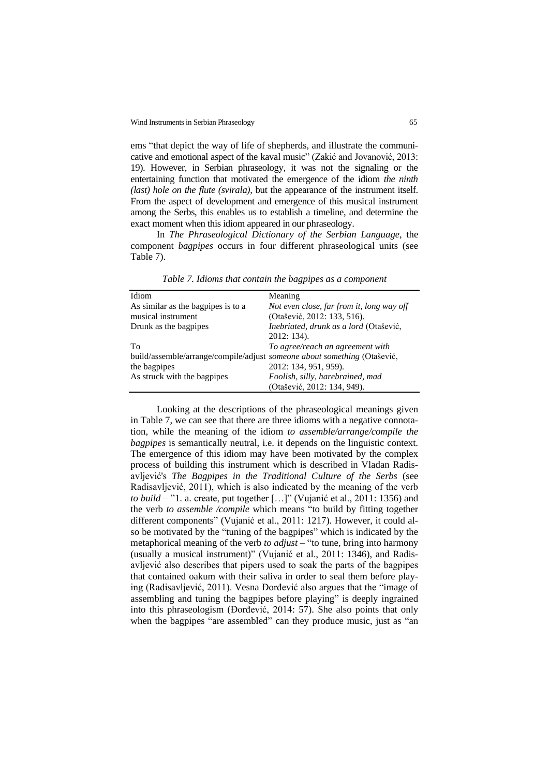ems "that depict the way of life of shepherds, and illustrate the communicative and emotional aspect of the kaval music" (Zakić and Jovanović, 2013: 19). However, in Serbian phraseology, it was not the signaling or the entertaining function that motivated the emergence of the idiom *the ninth (last) hole on the flute (svirala),* but the appearance of the instrument itself. From the aspect of development and emergence of this musical instrument among the Serbs, this enables us to establish a timeline, and determine the exact moment when this idiom appeared in our phraseology.

In *The Phraseological Dictionary of the Serbian Language*, the component *bagpipes* occurs in four different phraseological units (see Table 7).

| Idiom                                                                    | Meaning                                   |
|--------------------------------------------------------------------------|-------------------------------------------|
| As similar as the bagpipes is to a                                       | Not even close, far from it, long way off |
| musical instrument                                                       | (Otašević, 2012: 133, 516).               |
| Drunk as the bagpipes                                                    | Inebriated, drunk as a lord (Otašević,    |
|                                                                          | 2012: 134).                               |
| To                                                                       | To agree/reach an agreement with          |
| build/assemble/arrange/compile/adjust someone about something (Otašević, |                                           |
| the bagpipes                                                             | 2012: 134, 951, 959).                     |
| As struck with the bagpipes                                              | Foolish, silly, harebrained, mad          |
|                                                                          | (Otašević, 2012: 134, 949).               |

*Table 7. Idioms that contain the bagpipes as a component* 

Looking at the descriptions of the phraseological meanings given in Table 7, we can see that there are three idioms with a negative connotation, while the meaning of the idiom *to assemble/arrange/compile the bagpipes* is semantically neutral, i.e. it depends on the linguistic context. The emergence of this idiom may have been motivated by the complex process of building this instrument which is described in Vladan Radisavljević's *The Bagpipes in the Traditional Culture of the Serbs* (see Radisavljević, 2011), which is also indicated by the meaning of the verb *to build* – "1. a. create, put together […]" (Vujanić et al., 2011: 1356) and the verb *to assemble /compile* which means "to build by fitting together different components" (Vujanić et al., 2011: 1217). However, it could also be motivated by the "tuning of the bagpipes" which is indicated by the metaphorical meaning of the verb *to adjust* – "to tune, bring into harmony (usually a musical instrument)" (Vujanić et al., 2011: 1346), and Radisavljević also describes that pipers used to soak the parts of the bagpipes that contained oakum with their saliva in order to seal them before playing (Radisavljević, 2011). Vesna Đorđević also argues that the "image of assembling and tuning the bagpipes before playing" is deeply ingrained into this phraseologism (Đorđević, 2014: 57). She also points that only when the bagpipes "are assembled" can they produce music, just as "an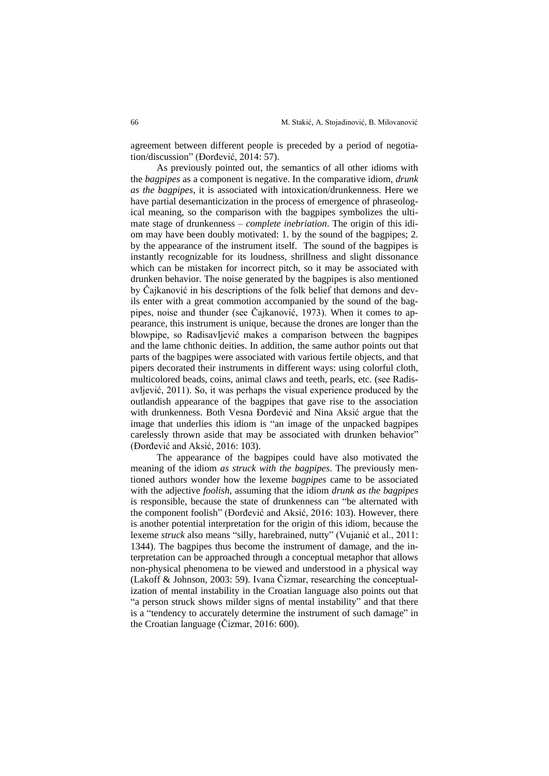agreement between different people is preceded by a period of negotiation/discussion" (Đorđević, 2014: 57).

As previously pointed out, the semantics of all other idioms with the *bagpipes* as a component is negative. In the comparative idiom, *drunk as the bagpipes*, it is associated with intoxication/drunkenness. Here we have partial desemanticization in the process of emergence of phraseological meaning, so the comparison with the bagpipes symbolizes the ultimate stage of drunkenness – *complete inebriation*. The origin of this idiom may have been doubly motivated: 1. by the sound of the bagpipes; 2. by the appearance of the instrument itself. The sound of the bagpipes is instantly recognizable for its loudness, shrillness and slight dissonance which can be mistaken for incorrect pitch, so it may be associated with drunken behavior. The noise generated by the bagpipes is also mentioned by Čajkanović in his descriptions of the folk belief that demons and devils enter with a great commotion accompanied by the sound of the bagpipes, noise and thunder (see Čajkanović, 1973). When it comes to appearance, this instrument is unique, because the drones are longer than the blowpipe, so Radisavljević makes a comparison between the bagpipes and the lame chthonic deities. In addition, the same author points out that parts of the bagpipes were associated with various fertile objects, and that pipers decorated their instruments in different ways: using colorful cloth, multicolored beads, coins, animal claws and teeth, pearls, etc. (sее Radisavljević, 2011). So, it was perhaps the visual experience produced by the outlandish appearance of the bagpipes that gave rise to the association with drunkenness. Both Vesna Đorđević and Nina Aksić argue that the image that underlies this idiom is "an image of the unpacked bagpipes carelessly thrown aside that may be associated with drunken behavior" (Đorđević and Aksić, 2016: 103).

The appearance of the bagpipes could have also motivated the meaning of the idiom *as struck with the bagpipes*. The previously mentioned authors wonder how the lexeme *bagpipes* came to be associated with the adjective *foolish*, assuming that the idiom *drunk as the bagpipes* is responsible, because the state of drunkenness can "be alternated with the component foolish" (Đorđević and Aksić, 2016: 103). However, there is another potential interpretation for the origin of this idiom, because the lexeme *struck* also means "silly, harebrained, nutty" (Vujanić et al., 2011: 1344). The bagpipes thus become the instrument of damage, and the interpretation can be approached through a conceptual metaphor that allows non-physical phenomena to be viewed and understood in a physical way (Lakoff & Johnson, 2003: 59). Ivana Čizmar, researching the conceptualization of mental instability in the Croatian language also points out that "a person struck shows milder signs of mental instability" and that there is a "tendency to accurately determine the instrument of such damage" in the Croatian language (Čizmar, 2016: 600).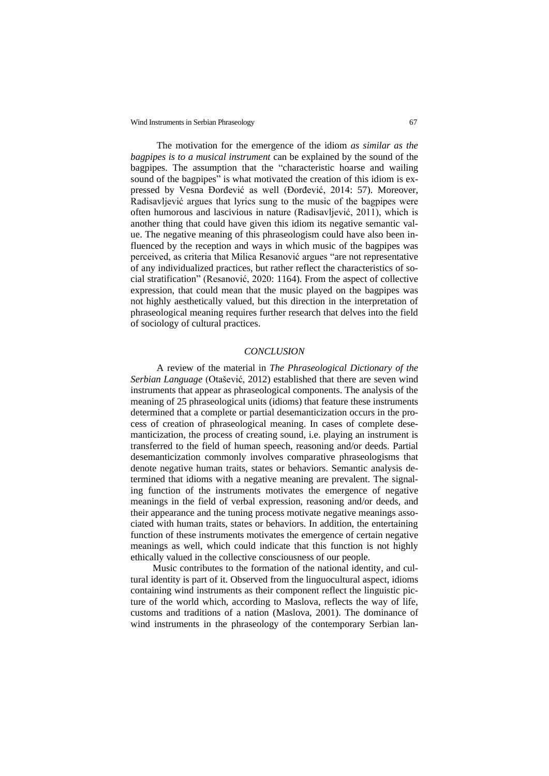The motivation for the emergence of the idiom *as similar as the bagpipes is to a musical instrument* can be explained by the sound of the bagpipes. The assumption that the "characteristic hoarse and wailing sound of the bagpipes" is what motivated the creation of this idiom is expressed by Vesna Đorđević as well (Đorđević, 2014: 57). Moreover, Radisavljević argues that lyrics sung to the music of the bagpipes were often humorous and lascivious in nature (Radisavljević, 2011), which is another thing that could have given this idiom its negative semantic value. The negative meaning of this phraseologism could have also been influenced by the reception and ways in which music of the bagpipes was perceived, as criteria that Milica Resanović argues "are not representative of any individualized practices, but rather reflect the characteristics of social stratification" (Resanović, 2020: 1164). From the aspect of collective expression, that could mean that the music played on the bagpipes was not highly aesthetically valued, but this direction in the interpretation of phraseological meaning requires further research that delves into the field of sociology of cultural practices.

#### *CONCLUSION*

A review of the material in *The Phraseological Dictionary of the Serbian Language* (Otašević, 2012) established that there are seven wind instruments that appear as phraseological components. The analysis of the meaning of 25 phraseological units (idioms) that feature these instruments determined that a complete or partial desemanticization occurs in the process of creation of phraseological meaning. In cases of complete desemanticization, the process of creating sound, i.e. playing an instrument is transferred to the field of human speech, reasoning and/or deeds. Partial desemanticization commonly involves comparative phraseologisms that denote negative human traits, states or behaviors. Semantic analysis determined that idioms with a negative meaning are prevalent. The signaling function of the instruments motivates the emergence of negative meanings in the field of verbal expression, reasoning and/or deeds, and their appearance and the tuning process motivate negative meanings associated with human traits, states or behaviors. In addition, the entertaining function of these instruments motivates the emergence of certain negative meanings as well, which could indicate that this function is not highly ethically valued in the collective consciousness of our people.

Music contributes to the formation of the national identity, and cultural identity is part of it. Observed from the linguocultural aspect, idioms containing wind instruments as their component reflect the linguistic picture of the world which, according to Maslova, reflects the way of life, customs and traditions of a nation (Maslova, 2001). The dominance of wind instruments in the phraseology of the contemporary Serbian lan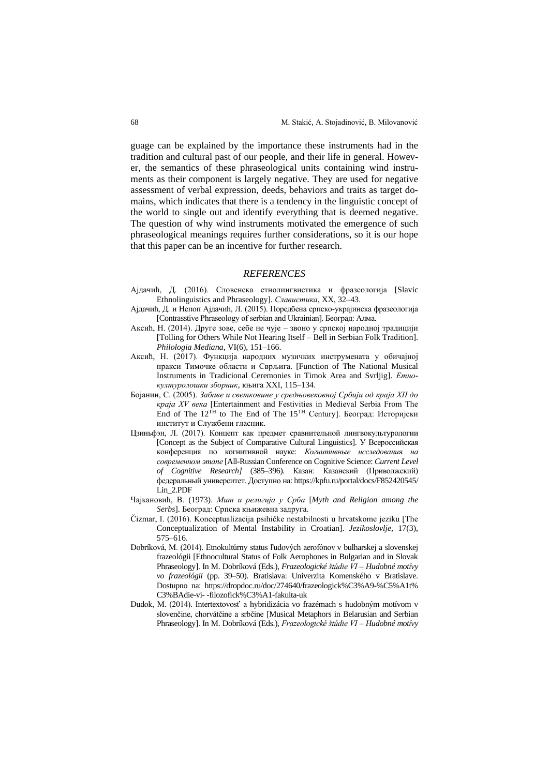guage can be explained by the importance these instruments had in the tradition and cultural past of our people, and their life in general. However, the semantics of these phraseological units containing wind instruments as their component is largely negative. They are used for negative assessment of verbal expression, deeds, behaviors and traits as target domains, which indicates that there is a tendency in the linguistic concept of the world to single out and identify everything that is deemed negative. The question of why wind instruments motivated the emergence of such phraseological meanings requires further considerations, so it is our hope that this paper can be an incentive for further research.

#### *REFERENCES*

- Ајдачић, Д. (2016). Словенска етнолингвистика и фразеологија [Slavic Ethnolinguistics and Phraseology]. *Славистика*, XX, 32–43.
- Ајдачић, Д. и Непоп Ајдачић, Л. (2015). Поредбена српско-украјинска фразеологија [Contrasstive Phraseology of serbian and Ukrainian]. Београд: Алма.
- Аксић, Н. (2014). Друге зове, себе не чује звоно у српској народној традицији [Tolling for Others While Not Hearing Itself – Bell in Serbian Folk Tradition]. *Philologia Mediana*, VI(6), 151–166.
- Аксић, Н. (2017). Функција народних музичких инструмената у обичајној пракси Тимочке области и Сврљига. [Function of The National Musical Instruments in Tradicional Ceremonies in Timok Area and Svrljig]. *Етнокултуролошки зборник*, књига XXI, 115–134.
- Бојанин, С. (2005). *Забаве и светковине у средњовековној Србији од краја XII до краја XV века* [Еntertainment and Festivities in Medieval Serbia From The End of The 12TH to The End of The 15TH Century]. Београд: Историјски институт и Службени гласник.
- Цзиньфэн, Л. (2017). Концепт как предмет сравнительной лингвокультурологии [Concept as the Subject of Comparative Cultural Linguistics]. У Всероссийская конференция по когнитивной науке: *Когнитивные исследования на современном этапе* [All-Russian Conference on Cognitive Science: *Current Level of Cognitive Research]* (385–396). Казан: Казанский (Приволжский) федеральный университет. Доступно на: [https://kpfu.ru/portal/docs/F852420545/](https://kpfu.ru/portal/docs/F852420545/%0bLin_2.PDF) [Lin\\_2.PDF](https://kpfu.ru/portal/docs/F852420545/%0bLin_2.PDF)
- Чајкановић, В. (1973). *Мит и религија у Срба* [*Myth and Religion among the Serbs*]. Београд: Српска књижевна задруга.
- Čizmar, I. (2016). Konceptualizacija psihičke nestabilnosti u hrvatskome jeziku [The Conceptualization of Mental Instability in Croatian]. *Jezikoslovlje*, 17(3), 575–616.
- Dobríková, М. (2014). Etnokultúrny status ľudových aerofónov v bulharskej a slovenskej frazeológii [Ethnocultural Status of Folk Aerophones in Bulgarian and in Slovak Phraseology]. In M. Dobríková (Eds.), *Frazeologické štúdie VI – Hudobné motívy vo frazeológii* (pp. 39–50). Bratislava: Univerzita Komenského v Bratislave. Dostupno na: https://dropdoc.ru/doc/274640/frazeologick%C3%A9-%C5%A1t% C3%BAdie-vi- -filozofick%C3%A1-fakulta-uk
- Dudok, M. (2014). Intertextovosť a hybridizácia vo frazémach s hudobným motívom v slovenčine, chorvátčine a srbčine [Musical Metaphors in Belarusian and Serbian Phraseology]. In M. Dobríková (Eds.), *Frazeologické štúdie VI – Hudobné motívy*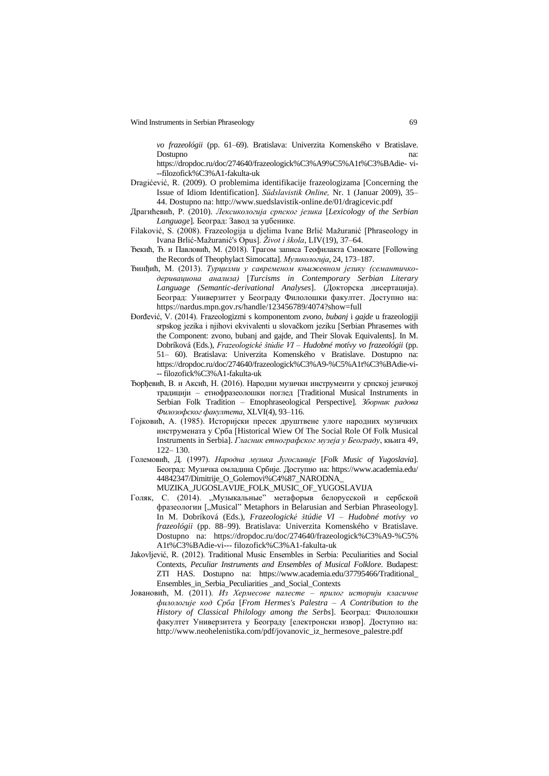*vo frazeológii* (pp. 61–69). Bratislava: Univerzita Komenského v Bratislave. Dostupno

[https://dropdoc.ru/doc/274640/frazeologick%C3%A9%C5%A1t%C3%BAdie-](https://dropdoc.ru/doc/274640/frazeologick%C3%A9%C5%A1t%C3%BAdie-vi---filozofick%C3%A1-fakulta-uk) vi- [--filozofick%C3%A1-fakulta-uk](https://dropdoc.ru/doc/274640/frazeologick%C3%A9%C5%A1t%C3%BAdie-vi---filozofick%C3%A1-fakulta-uk)

- Dragićević, R. (2009). O problemima identifikacije frazeologizama [Concerning the Issue of Idiom Identification]. *Südslavistik Оnline,* Nr. 1 (Januar 2009), 35– 44. Dostupno na: [http://www.suedslavistik-o](http://www.suedslavistik-/)nline.de/01/dragicevic.pdf
- Драгићевић, Р. (2010). *Лексикологија српског језика* [*Lexicology of the Serbian Language*]*.* Београд: Завод за уџбенике.
- Filaković, S. (2008). Frazeologija u djelima Ivane Brlić Mažuranić [Phraseology in Ivana Brlić-Mažuranić's Opus]. *Život i škola*, LIV(19), 37–64.
- Ђекић, Ђ. и Павловић, М. (2018). Трагом записа Теофилакта Симокате [Following the Records of Theophylact Simocatta]. *Музикологија*, 24, 173–187.
- Ђинђић, М. (2013). *Турцизми у савременом књижевном језику (семантичкодеривациона анализа)* [*Turcisms in Contemporary Serbian Literary Language (Semantic-derivational Analyses*]. (Докторска дисертација). Београд: Универзитет у Београду Филолошки факултет. Доступно на: https://nardus.mpn.gov.rs/handle/123456789/4074?show=full
- Đorđević, V. (2014). Frazeologizmi s komponentom *zvono*, *bubanj* i *gajde* u frazeologiji srpskog jezika i njihovi ekvivalenti u slovačkom jeziku [Serbian Phrasemes with the Component: zvono, bubanj and gajde, and Their Slovak Equivalents]. In M. Dobríková (Eds.), *Frazeologické štúdie VI – Hudobné motívy vo frazeológii* (pp. 51– 60). Bratislava: Univerzita Komenského v Bratislave. Dostupno na: [https://dropdoc.ru/doc/274640/frazeologick%C3%A9-%C5%A1t%C3%BAdie-vi-](https://dropdoc.ru/doc/274640/frazeologick%C3%A9-%C5%A1t%C3%BAdie-vi---filozofick%C3%A1-fakulta-uk) -- [filozofick%C3%A1-fakulta-uk](https://dropdoc.ru/doc/274640/frazeologick%C3%A9-%C5%A1t%C3%BAdie-vi---filozofick%C3%A1-fakulta-uk)
- Ђорђевић, В. и Аксић, Н. (2016). Народни музички инструменти у српској језичкој традицији – етнофразеолошки поглед [Traditional Musical Instruments in Serbian Folk Tradition – Etnophraseological Perspective]. *Зборник радова Филозофског факултета*, XLVI(4), 93–116.
- Гојковић, А. (1985). Историјски пресек друштвене улоге народних музичких инструмената у Срба [Historical Wiew Of The Social Role Of Folk Musical Instruments in Serbia]. *Гласник етнографског музеја у Београду*, књига 49, 122– 130.
- Големовић, Д. (1997). *Народна музика Југославије* [*Folk Music of Yugoslavia*]. Београд: Музичка омладина Србије. Доступно на: [https://www.academia.edu/](https://www.academia.edu/%0b44842347/Dimitrije_O_Golemovi%C4%87_NARODNA_) [44842347/Dimitrije\\_O\\_Golemovi%C4%87\\_NARODNA\\_](https://www.academia.edu/%0b44842347/Dimitrije_O_Golemovi%C4%87_NARODNA_) MUZIKA\_JUGOSLAVIJE\_FOLK\_MUSIC\_OF\_YUGOSLAVIJA
- Голяк, С. (2014). "Музыкальные" метафорыв белорусской и сербской фразеологии ["Musical" Metaphors in Belarusian and Serbian Phraseology]. In M. Dobríková (Eds.), *Frazeologické štúdie VI – Hudobné motívy vo frazeológii* (pp. 88–99). Bratislava: Univerzita Komenského v Bratislave. Dostupno na: [https://dropdoc.ru/doc/274640/frazeologick%C3%A9-%C5%](https://dropdoc.ru/doc/274640/frazeologick%C3%A9-%C5%25%0bA1t%C3%BAdie-vi---%20filozofick%C3%A1-fakulta-uk) A1t%C3%BAdie-vi--- [filozofick%C3%A1-fakulta-uk](https://dropdoc.ru/doc/274640/frazeologick%C3%A9-%C5%25%0bA1t%C3%BAdie-vi---%20filozofick%C3%A1-fakulta-uk)
- Jakovljević, R. (2012). Traditional Music Ensembles in Serbia: Peculiarities and Social Contexts, *Peculiar Instruments and Ensembles of Musical Folklore*. Budapest: ZTI HAS. Dostupno na: https://www.academia.edu/37795466/Traditional\_ Ensembles\_in\_Serbia\_Peculiarities \_and\_Social\_Contexts
- Јовановић, М. (2011). *Из Хермесове палесте – прилог историји класичне филологије код Срба* [*From Hermes's Palestra – A Contribution to the History of Classical Philology among the Serbs*]. Београд: Филолошки факултет Универзитета у Београду [електронски извор]. Доступно на: http://www.neohelenistika.com/pdf/jovanovic\_iz\_hermesove\_palestre.pdf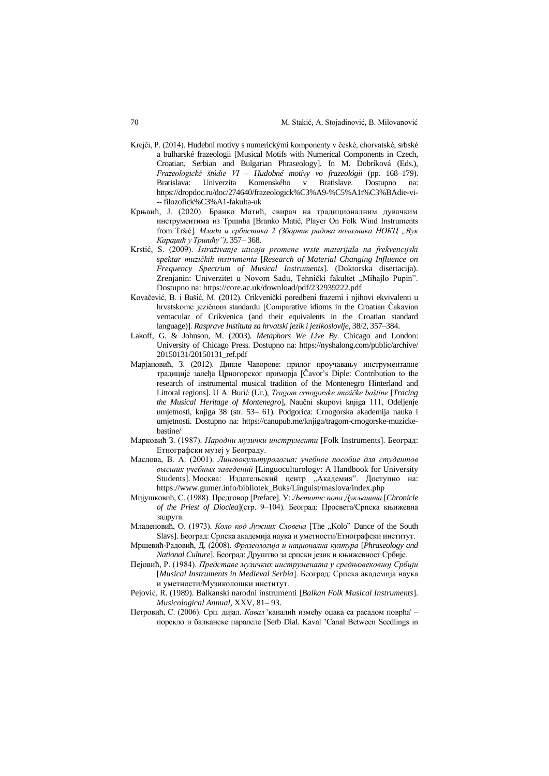- Krejči, P. (2014). Hudební motivy s numerickými komponenty v české, chorvatské, srbské a bulharské frazeologii [Musical Motifs with Numerical Components in Czech, Croatian, Serbian and Bulgarian Phraseology]. In M. Dobríková (Eds.), *Frazeologické štúdie VI – Hudobné motívy vo frazeológii* (pp. 168–179). Bratislava: Univerzita Komenského v Bratislave. Dostupno na: [https://dropdoc.ru/doc/274640/frazeologick%C3%A9-%C5%A1t%C3%BAdie-vi-](https://dropdoc.ru/doc/274640/frazeologick%C3%A9-%C5%A1t%C3%BAdie-vi---%20filozofick%C3%A1-fakulta-uk) -- [filozofick%C3%A1-fakulta-uk](https://dropdoc.ru/doc/274640/frazeologick%C3%A9-%C5%A1t%C3%BAdie-vi---%20filozofick%C3%A1-fakulta-uk)
- Крњаић, Ј. (2020). Бранко Матић, свирач на традиционалним дувачким инструментима из Тршића [Branko Matić, Player On Folk Wind Instruments from Tršić]. *Млади и србистика 2 (Зборник радова полазника НОКЦ "Вук Караџић у Тршићуˮ)*, 357– 368.
- Krstić, S. (2009). *Istraživanje uticaja promene vrste materijala na frekvencijski spektar muzičkih instrumenta* [*Research of Material Changing Influence on Frequency Spectrum of Musical Instruments*]. (Doktorska disertacija). Zrenjanin: Univerzitet u Novom Sadu, Tehnički fakultet "Mihajlo Pupin". Dostupno na: https://core.ac.uk/download/pdf/232939222.pdf
- Kovačević, B. i Bašić, M. (2012). Crikvenički poredbeni frazemi i njihovi ekvivalenti u hrvatskome jezičnom standardu [Comparative idioms in the Croatian Čakavian vernacular of Crikvenica (and their equivalents in the Croatian standard language)]. *Rasprave Instituta za hrvatski jezik i jezikoslovlje*, 38/2, 357–384.
- Lakoff, G. & Johnson, M. (2003). *Metaphors We Live By*. Chicago and London: University of Chicago Press. Dostupno na: [https://nyshalong.com/public/archive/](https://nyshalong.com/public/archive/%0b20150131/20150131_ref.pdf) [20150131/20150131\\_ref.pdf](https://nyshalong.com/public/archive/%0b20150131/20150131_ref.pdf)
- Марјановић, З. (2012). Дипле Чаворове: прилог проучавању инструменталне традиције залеђа Црногорског приморја [Čavor's Diple: Contribution to the research of instrumental musical tradition of the Montenegro Hinterland and Littoral regions]. U A. Burić (Ur.), *Tragom crnogorske muzičke baštine* [*Tracing the Musical Heritage of Montenegro*], Naučni skupovi knjiga 111, Odeljenje umjetnosti, knjiga 38 (str. 53– 61). Podgorica: Crnogorska akademija nauka i umjetnosti. Dostupno na: https://canupub.me/knjiga/tragom-crnogorske-muzickebastine/
- Марковић З. (1987). *Народни музички инструменти* [Folk Instruments]. Београд: Етнографски музеј у Београду.
- Маслова, В. А. (2001). *Лингвокультурология: учебное пособие для студентов высших учебных заведений* [Linguoculturology: A Handbook for University Students]. Москва: Издательский центр "Академия". Доступно на: https://www.gumer.info/bibliotek\_Buks/Linguist/maslova/index.php
- Мијушковић, С. (1988). Предговор [Preface]. У: *Љетопис попа Дукљанина* [*Chronicle of the Priest of Dioclea*](стр. 9–104). Београд: Просвета/Српска књижевна задруга.
- Младеновић, О. (1973). *Коло код Јужних Словена* [The "Kolo" Dance of the South Slavs]. Београд: Српска академија наука и уметности/Етнографски институт.
- Мршевић-Радовић, Д. (2008). *Фразеологија и национална култура* [*Phraseology and National Culture*]. Београд: Друштво за српски језик и књижевност Србије.
- Пејовић, Р. (1984). *Представе музичких инструмената у средњoвековној Србији* [*Musical Instruments in Medieval Serbia*]. Београд: Српска академија наука и уметности/Музиколошки институт.
- Pejović, R. (1989). Balkanski narodni instrumenti [*Balkan Folk Musical Instruments*]. *Musicological Annual*, XXV, 81– 93.
- Петровић, С. (2006). Срп. дијал. *Кавал* 'каналић између оџака са расадом поврћа' порекло и балканске паралеле [Serb Dial. Kaval 'Canal Between Seedlings in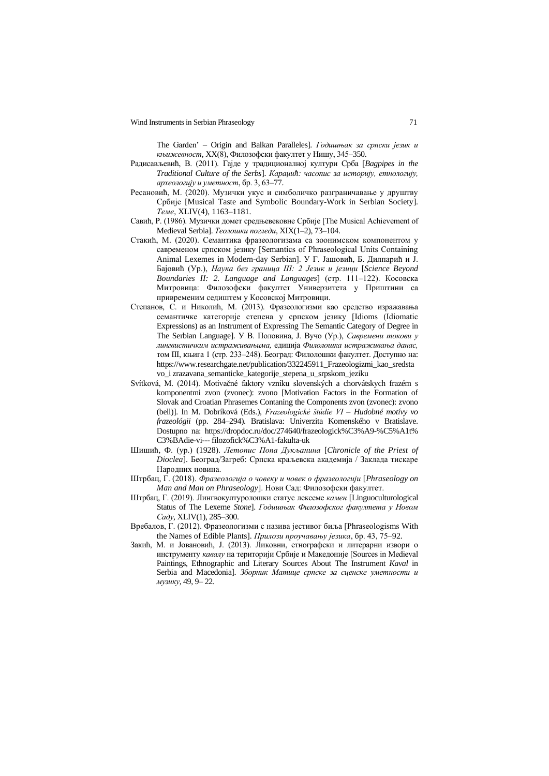The Garden' – Origin and Balkan Paralleles]. *Годишњак за српски језик и књижевност*, XX(8), Филозофски факултет у Нишу, 345–350.

- Радисављевић, В. (2011). Гајде у традиционалној култури Срба [*Bagpipes in the Traditional Culture of the Serbs*]. *Караџић: часопис за историју, етнологију, археологију и уметност*, бр. 3, 63–77.
- Ресановић, М. (2020). Музички укус и симболичко разграничавање у друштву Србије [Musical Taste and Symbolic Boundary-Work in Serbian Society]. *Теме*, XLIV(4), 1163–1181.
- Савић, Р. (1986). Музички домет средњевековне Србије [Тhe Musical Achievement of Medieval Serbia]. *Теолошки погледи*, XIX(1–2), 73–104.
- Стакић, М. (2020). Семантика фразеологизама са зоонимском компонентом у савременом српском језику [Semantics of Phraseological Units Containing Animal Lexemes in Modern-day Serbian]. У Г. Јашовић, Б. Дилпарић и Ј. Бајовић (Ур.), *Наука без граница III: 2 Језик и језици* [*Science Beyond Boundaries II: 2. Language and Languages*] (стр. 111–122). Косовска Митровица: Филозофски факултет Универзитета у Приштини са привременим седиштем у Косовској Митровици.
- Степанов, С. и Николић, М. (2013). Фразеологизми као средство изражавања семантичке категорије степена у српском језику [Idioms (Idiomatic Expressions) as an Instrument of Expressing The Semantic Category of Degree in The Serbian Language]. У В. Половина, Ј. Вучо (Ур.), *Савремени токови у лингвистичким истраживањима,* едиција *Филолошка истраживања данас,*  том III, књига 1 (стр. 233–248). Београд: Филолошки факултет. Доступно на: [https://www.researchgate.net/publication/332245911\\_Frazeologizmi\\_kao\\_sredsta](https://www.researchgate.net/publication/332245911_Frazeologizmi_kao_sredstavo_i) [vo\\_i](https://www.researchgate.net/publication/332245911_Frazeologizmi_kao_sredstavo_i) zrazavana\_semanticke\_kategorije\_stepena\_u\_srpskom\_jeziku
- Svítková, M. (2014). Motivačné faktory vzniku slovenských a chorvátskych frazém s komponentmi zvon (zvonec): zvono [Motivation Factors in the Formation of Slovak and Croatian Phrasemes Contaning the Components zvon (zvonec): zvono (bell)]. In M. Dobríková (Eds.), *Frazeologické štúdie VI – Hudobné motívy vo frazeológii* (pp. 284–294). Bratislava: Univerzita Komenského v Bratislave. Dostupno na: [https://dropdoc.ru/doc/274640/frazeologick%C3%A9-%C5%A1t%](https://dropdoc.ru/doc/274640/frazeologick%C3%A9-%C5%A1t%25%0bC3%BAdie-vi---%20filozofick%C3%A1-fakulta-uk) C3%BAdie-vi--- [filozofick%C3%A1-fakulta-uk](https://dropdoc.ru/doc/274640/frazeologick%C3%A9-%C5%A1t%25%0bC3%BAdie-vi---%20filozofick%C3%A1-fakulta-uk)
- Шишић, Ф. (ур.) (1928). *Летопис Попа Дукљанина* [*Chronicle of the Priest of Dioclea*]. Београд/Загреб: Српска краљевска академија / Заклада тискаре Народних новина.
- Штрбац, Г. (2018). *Фразеологија о човеку и човек о фразеологији* [*Phraseology on Man and Man on Phraseology*]. Нови Сад: Филозофски факултет.
- Штрбац, Г. (2019). Лингвокултуролошки статус лексеме *камен* [Linguoculturological Status of The Lexeme *Stone*]. *Годишњак Филозофског факултета у Новом Саду*, XLIV(1), 285–300.
- Вребалов, Г. (2012). Фразеологизми с назива јестивог биља [Phraseologisms With the Names of Edible Plants]. *Прилози проучавању језика*, бр. 43, 75–92.
- Закић, М. и Јовановић, Ј. (2013). Ликовни, етнографски и литерарни извори о инструменту *кавалу* на територији Србије и Македоније [Sources in Medieval Paintings, Ethnographic and Literary Sources About The Instrument *Kaval* in Serbia and Macedonia]. *Зборник Матице српске за сценске уметности и музику*, 49, 9– 22.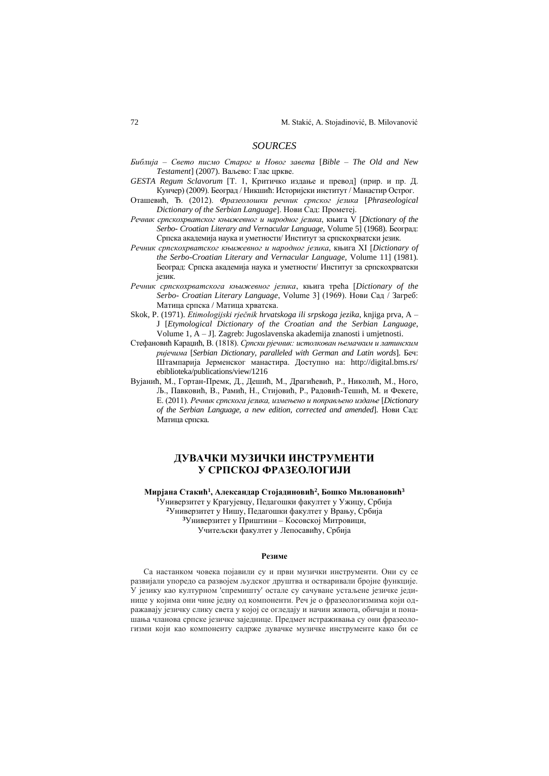### *SOURCES*

- *Библија – Свето писмо Старог и Новог завета* [*Bible – The Old and New Testament*] (2007). Ваљево: Глас цркве.
- *GESTA Regum Sclavorum* [T. 1, Критичко издање и превод] (прир. и пр. Д. Кунчер) (2009). Београд / Никшић: Историјски институт / Манастир Острог.
- Оташевић, Ђ. (2012). *Фразеолошки речник српског језика* [*Phraseological Dictionary of the Serbian Language*]. Нови Сад: Прометеј.
- *Речник српскохрватског књижевног и народног језика*, књига V [*Dictionary of the Serbo- Croatian Literary and Vernacular Language,* Volume 5] (1968). Београд: Српска академија наука и уметности/ Институт за српскохрватски језик.
- *Речник српскохрватског књижевног и народног језика*, књига XI [*Dictionary of the Serbo-Croatian Literary and Vernacular Language,* Volume 11] (1981). Београд: Српска академија наука и уметности/ Институт за српскохрватски језик.
- *Речник српскохрватскога књижевног језика*, књига трећа [*Dictionary of the Serbo- Croatian Literary Language*, Volume 3] (1969). Нови Сад / Загреб: Матица српска / Матица хрватска.
- Skok, P. (1971). *Etimologijski rječnik hrvatskoga ili srpskoga jezika*, knjiga prva, A J [*Etymological Dictionary of the Croatian and the Serbian Language*, Volume 1, A – J]. Zagreb: Jugoslavenska akademija znanosti i umjetnosti.
- Стефановић Караџић, В. (1818). *Српски рјечник: истолкован њемачким и латинским ријечима* [*Serbian Dictionary, paralleled with German and Latin words*]. Беч: Штампарија Јерменског манастира. Доступно на: http://digital.bms.rs/ ebiblioteka/publications/view/1216
- Вујанић, М., Гортан-Премк, Д., Дешић, М., Драгићевић, Р., Николић, М., Ного, Љ., Павковић, В., Рамић, Н., Стијовић, Р., Радовић-Тешић, М. и Фекете, Е. (2011). *Речник српскога језика, измењено и поправљено издање* [*Dictionary of the Serbian Language, a new edition, corrected and amended*]. Нови Сад: Матица српска.

# **ДУВАЧКИ МУЗИЧКИ ИНСТРУМЕНТИ У СРПСКОЈ ФРАЗЕОЛОГИЈИ**

**Мирјана Стакић<sup>1</sup> , Aлександар Стојадиновић<sup>2</sup> , Бошко Миловановић<sup>3</sup>**

Универзитет у Крагујевцу, Педагошки факултет у Ужицу, Србија Универзитет у Нишу, Педагошки факултет у Врању, Србија Универзитет у Приштини – Косовској Митровици, Учитељски факултет у Лепосавићу, Србија

#### **Резиме**

Са настанком човека појавили су и први музички инструменти. Они су се развијали упоредо са развојем људског друштва и остваривали бројне функције. У језику као културном 'спремишту' остале су сачуване устаљене језичке јединице у којима они чине једну од компоненти. Реч је о фразеологизмима који одражавају језичку слику света у којој се огледају и начин живота, обичаји и понашања чланова српске језичке заједнице. Предмет истраживања су они фразеологизми који као компоненту садрже дувачке музичке инструменте како би се